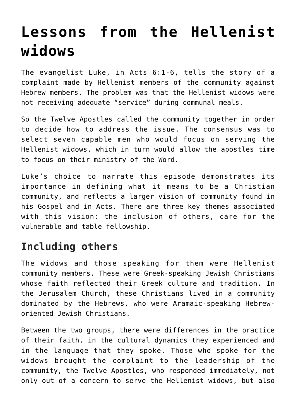# **[Lessons from the Hellenist](https://www.osvnews.com/2018/07/29/lessons-from-the-hellenist-widows/) [widows](https://www.osvnews.com/2018/07/29/lessons-from-the-hellenist-widows/)**

The evangelist Luke, in Acts 6:1-6, tells the story of a complaint made by Hellenist members of the community against Hebrew members. The problem was that the Hellenist widows were not receiving adequate "service" during communal meals.

So the Twelve Apostles called the community together in order to decide how to address the issue. The consensus was to select seven capable men who would focus on serving the Hellenist widows, which in turn would allow the apostles time to focus on their ministry of the Word.

Luke's choice to narrate this episode demonstrates its importance in defining what it means to be a Christian community, and reflects a larger vision of community found in his Gospel and in Acts. There are three key themes associated with this vision: the inclusion of others, care for the vulnerable and table fellowship.

## **Including others**

The widows and those speaking for them were Hellenist community members. These were Greek-speaking Jewish Christians whose faith reflected their Greek culture and tradition. In the Jerusalem Church, these Christians lived in a community dominated by the Hebrews, who were Aramaic-speaking Hebreworiented Jewish Christians.

Between the two groups, there were differences in the practice of their faith, in the cultural dynamics they experienced and in the language that they spoke. Those who spoke for the widows brought the complaint to the leadership of the community, the Twelve Apostles, who responded immediately, not only out of a concern to serve the Hellenist widows, but also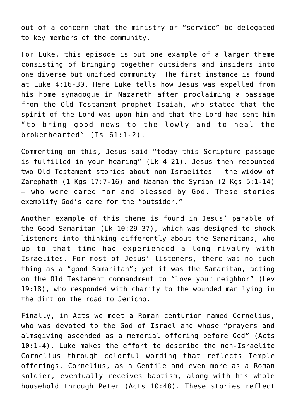out of a concern that the ministry or "service" be delegated to key members of the community.

For Luke, this episode is but one example of a larger theme consisting of bringing together outsiders and insiders into one diverse but unified community. The first instance is found at Luke 4:16-30. Here Luke tells how Jesus was expelled from his home synagogue in Nazareth after proclaiming a passage from the Old Testament prophet Isaiah, who stated that the spirit of the Lord was upon him and that the Lord had sent him "to bring good news to the lowly and to heal the brokenhearted" (Is 61:1-2).

Commenting on this, Jesus said "today this Scripture passage is fulfilled in your hearing" (Lk 4:21). Jesus then recounted two Old Testament stories about non-Israelites — the widow of Zarephath  $(1 \text{ Kas } 17:7-16)$  and Naaman the Syrian  $(2 \text{ Kas } 5:1-14)$ — who were cared for and blessed by God. These stories exemplify God's care for the "outsider."

Another example of this theme is found in Jesus' parable of the Good Samaritan (Lk 10:29-37), which was designed to shock listeners into thinking differently about the Samaritans, who up to that time had experienced a long rivalry with Israelites. For most of Jesus' listeners, there was no such thing as a "good Samaritan"; yet it was the Samaritan, acting on the Old Testament commandment to "love your neighbor" (Lev 19:18), who responded with charity to the wounded man lying in the dirt on the road to Jericho.

Finally, in Acts we meet a Roman centurion named Cornelius, who was devoted to the God of Israel and whose "prayers and almsgiving ascended as a memorial offering before God" (Acts 10:1-4). Luke makes the effort to describe the non-Israelite Cornelius through colorful wording that reflects Temple offerings. Cornelius, as a Gentile and even more as a Roman soldier, eventually receives baptism, along with his whole household through Peter (Acts 10:48). These stories reflect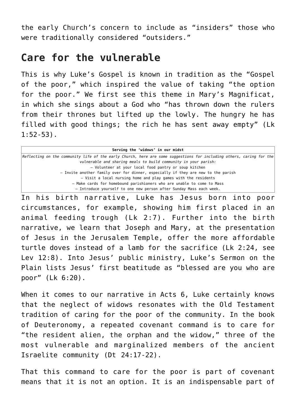the early Church's concern to include as "insiders" those who were traditionally considered "outsiders."

#### **Care for the vulnerable**

This is why Luke's Gospel is known in tradition as the "Gospel of the poor," which inspired the value of taking "the option for the poor." We first see this theme in Mary's Magnificat, in which she sings about a God who "has thrown down the rulers from their thrones but lifted up the lowly. The hungry he has filled with good things; the rich he has sent away empty" (Lk 1:52-53).

| Serving the 'widows' in our midst                                                                                           |
|-----------------------------------------------------------------------------------------------------------------------------|
| $ Reflecting$ on the community life of the early Church, here are some suggestions for including others, caring for the $ $ |
| vulnerable and sharing meals to build community in your parish:                                                             |
| - Volunteer at your local food pantry or soup kitchen                                                                       |
| - Invite another family over for dinner, especially if they are new to the parish                                           |
| - Visit a local nursing home and play games with the residents                                                              |
| - Make cards for homebound parishioners who are unable to come to Mass                                                      |
| - Introduce yourself to one new person after Sunday Mass each week.                                                         |

In his birth narrative, Luke has Jesus born into poor circumstances, for example, showing him first placed in an animal feeding trough (Lk 2:7). Further into the birth narrative, we learn that Joseph and Mary, at the presentation of Jesus in the Jerusalem Temple, offer the more affordable turtle doves instead of a lamb for the sacrifice (Lk 2:24, see Lev 12:8). Into Jesus' public ministry, Luke's Sermon on the Plain lists Jesus' first beatitude as "blessed are you who are poor" (Lk 6:20).

When it comes to our narrative in Acts 6, Luke certainly knows that the neglect of widows resonates with the Old Testament tradition of caring for the poor of the community. In the book of Deuteronomy, a repeated covenant command is to care for "the resident alien, the orphan and the widow," three of the most vulnerable and marginalized members of the ancient Israelite community (Dt 24:17-22).

That this command to care for the poor is part of covenant means that it is not an option. It is an indispensable part of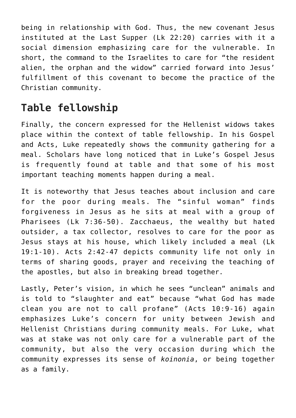being in relationship with God. Thus, the new covenant Jesus instituted at the Last Supper (Lk 22:20) carries with it a social dimension emphasizing care for the vulnerable. In short, the command to the Israelites to care for "the resident alien, the orphan and the widow" carried forward into Jesus' fulfillment of this covenant to become the practice of the Christian community.

## **Table fellowship**

Finally, the concern expressed for the Hellenist widows takes place within the context of table fellowship. In his Gospel and Acts, Luke repeatedly shows the community gathering for a meal. Scholars have long noticed that in Luke's Gospel Jesus is frequently found at table and that some of his most important teaching moments happen during a meal.

It is noteworthy that Jesus teaches about inclusion and care for the poor during meals. The "sinful woman" finds forgiveness in Jesus as he sits at meal with a group of Pharisees (Lk 7:36-50). Zacchaeus, the wealthy but hated outsider, a tax collector, resolves to care for the poor as Jesus stays at his house, which likely included a meal (Lk 19:1-10). Acts 2:42-47 depicts community life not only in terms of sharing goods, prayer and receiving the teaching of the apostles, but also in breaking bread together.

Lastly, Peter's vision, in which he sees "unclean" animals and is told to "slaughter and eat" because "what God has made clean you are not to call profane" (Acts 10:9-16) again emphasizes Luke's concern for unity between Jewish and Hellenist Christians during community meals. For Luke, what was at stake was not only care for a vulnerable part of the community, but also the very occasion during which the community expresses its sense of *koinonia*, or being together as a family.